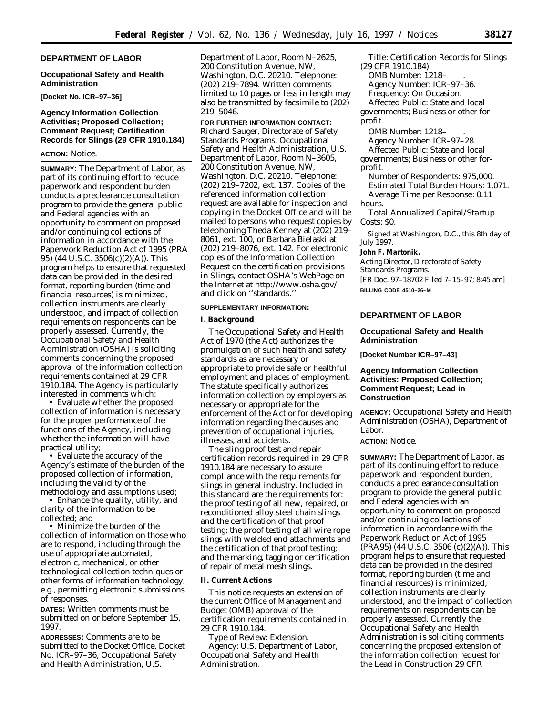#### **DEPARTMENT OF LABOR**

#### **Occupational Safety and Health Administration**

**[Docket No. ICR–97–36]**

# **Agency Information Collection Activities; Proposed Collection; Comment Request; Certification Records for Slings (29 CFR 1910.184)**

#### **ACTION:** Notice.

**SUMMARY:** The Department of Labor, as part of its continuing effort to reduce paperwork and respondent burden conducts a preclearance consultation program to provide the general public and Federal agencies with an opportunity to comment on proposed and/or continuing collections of information in accordance with the Paperwork Reduction Act of 1995 (PRA 95) (44 U.S.C. 3506(c)(2)(A)). This program helps to ensure that requested data can be provided in the desired format, reporting burden (time and financial resources) is minimized, collection instruments are clearly understood, and impact of collection requirements on respondents can be properly assessed. Currently, the Occupational Safety and Health Administration (OSHA) is soliciting comments concerning the proposed approval of the information collection requirements contained at 29 CFR 1910.184. The Agency is particularly interested in comments which:

• Evaluate whether the proposed collection of information is necessary for the proper performance of the functions of the Agency, including whether the information will have practical utility;

• Evaluate the accuracy of the Agency's estimate of the burden of the proposed collection of information, including the validity of the methodology and assumptions used;

• Enhance the quality, utility, and clarity of the information to be collected; and

• Minimize the burden of the collection of information on those who are to respond, including through the use of appropriate automated, electronic, mechanical, or other technological collection techniques or other forms of information technology, e.g., permitting electronic submissions of responses.

**DATES:** Written comments must be submitted on or before September 15, 1997.

**ADDRESSES:** Comments are to be submitted to the Docket Office, Docket No. ICR–97–36, Occupational Safety and Health Administration, U.S.

Department of Labor, Room N–2625, 200 Constitution Avenue, NW, Washington, D.C. 20210. Telephone: (202) 219–7894. Written comments limited to 10 pages or less in length may also be transmitted by facsimile to (202) 219–5046.

**FOR FURTHER INFORMATION CONTACT:** Richard Sauger, Directorate of Safety Standards Programs, Occupational Safety and Health Administration, U.S. Department of Labor, Room N–3605, 200 Constitution Avenue, NW, Washington, D.C. 20210. Telephone: (202) 219–7202, ext. 137. Copies of the referenced information collection request are available for inspection and copying in the Docket Office and will be mailed to persons who request copies by telephoning Theda Kenney at (202) 219– 8061, ext. 100, or Barbara Bielaski at (202) 219–8076, ext. 142. For electronic copies of the Information Collection Request on the certification provisions in Slings, contact OSHA's WebPage on the Internet at http://www.osha.gov/ and click on ''standards.''

#### **SUPPLEMENTARY INFORMATION:**

#### **I. Background**

The Occupational Safety and Health Act of 1970 (the Act) authorizes the promulgation of such health and safety standards as are necessary or appropriate to provide safe or healthful employment and places of employment. The statute specifically authorizes information collection by employers as necessary or appropriate for the enforcement of the Act or for developing information regarding the causes and prevention of occupational injuries, illnesses, and accidents.

The sling proof test and repair certification records required in 29 CFR 1910.184 are necessary to assure compliance with the requirements for slings in general industry. Included in this standard are the requirements for: the proof testing of all new, repaired, or reconditioned alloy steel chain slings and the certification of that proof testing; the proof testing of all wire rope slings with welded end attachments and the certification of that proof testing; and the marking, tagging or certification of repair of metal mesh slings.

#### **II. Current Actions**

This notice requests an extension of the current Office of Management and Budget (OMB) approval of the certification requirements contained in 29 CFR 1910.184.

*Type of Review:* Extension. *Agency:* U.S. Department of Labor, Occupational Safety and Health Administration.

*Title:* Certification Records for Slings (29 CFR 1910.184). *OMB Number:* 1218– . *Agency Number:* ICR–97–36. *Frequency:* On Occasion. *Affected Public:* State and local governments; Business or other forprofit.

*OMB Number:* 1218– . *Agency Number:* ICR–97–28. *Affected Public:* State and local governments; Business or other forprofit.

*Number of Respondents:* 975,000. *Estimated Total Burden Hours:* 1,071. *Average Time per Response:* 0.11 hours.

*Total Annualized Capital/Startup Costs:* \$0.

Signed at Washington, D.C., this 8th day of July 1997.

#### **John F. Martonik,**

*Acting Director, Directorate of Safety Standards Programs.* [FR Doc. 97–18702 Filed 7–15–97; 8:45 am] **BILLING CODE 4510–26–M**

# **DEPARTMENT OF LABOR**

### **Occupational Safety and Health Administration**

**[Docket Number ICR–97–43]**

## **Agency Information Collection Activities: Proposed Collection; Comment Request; Lead in Construction**

**AGENCY:** Occupational Safety and Health Administration (OSHA), Department of Labor.

# **ACTION:** Notice.

**SUMMARY:** The Department of Labor, as part of its continuing effort to reduce paperwork and respondent burden, conducts a preclearance consultation program to provide the general public and Federal agencies with an opportunity to comment on proposed and/or continuing collections of information in accordance with the Paperwork Reduction Act of 1995 (PRA95) (44 U.S.C. 3506 (c)(2)(A)). This program helps to ensure that requested data can be provided in the desired format, reporting burden (time and financial resources) is minimized, collection instruments are clearly understood, and the impact of collection requirements on respondents can be properly assessed. Currently the Occupational Safety and Health Administration is soliciting comments concerning the proposed extension of the information collection request for the Lead in Construction 29 CFR